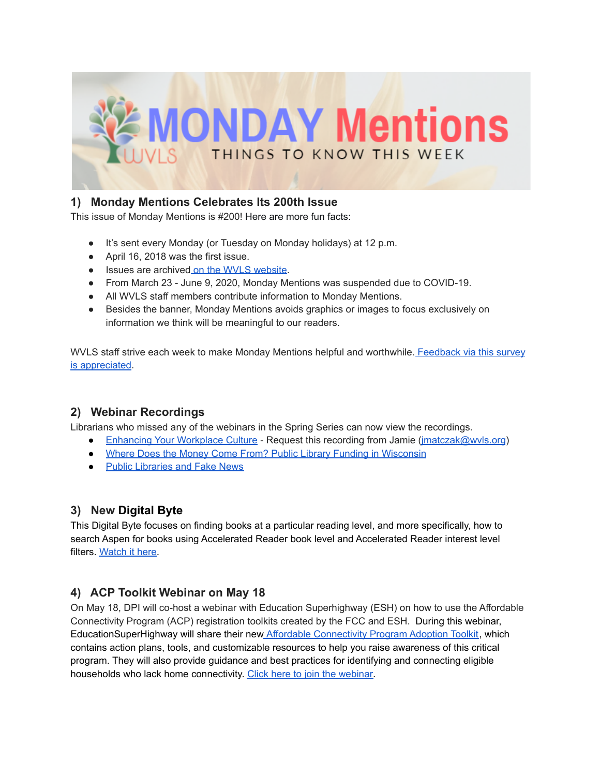

# **1) Monday Mentions Celebrates Its 200th Issue**

This issue of Monday Mentions is #200! Here are more fun facts:

- It's sent every Monday (or Tuesday on Monday holidays) at 12 p.m.
- April 16, 2018 was the first issue.
- Issues are archived on the WVLS [website](https://wvls.org/monday-mentions/).
- From March 23 June 9, 2020, Monday Mentions was suspended due to COVID-19.
- All WVLS staff members contribute information to Monday Mentions.
- Besides the banner, Monday Mentions avoids graphics or images to focus exclusively on information we think will be meaningful to our readers.

WVLS staff strive each week to make Monday Mentions helpful and worthwhile. [Feedback](https://forms.gle/xHyNKCsK2r5C8vxh8) via this survey is [appreciated](https://forms.gle/xHyNKCsK2r5C8vxh8).

# **2) Webinar Recordings**

Librarians who missed any of the webinars in the Spring Series can now view the recordings.

- [Enhancing](mailto:jmatczak@wvls.org) Your Workplace Culture Request this recording from Jamie (imatczak@wvls.org)
- Where Does the Money Come From? Public Library Funding in [Wisconsin](https://vimeo.com/704287506)
- Public [Libraries](https://www.youtube.com/watch?v=EhIzvDgzT_s) and Fake News

## **3) New Digital Byte**

This Digital Byte focuses on finding books at a particular reading level, and more specifically, how to search Aspen for books using Accelerated Reader book level and Accelerated Reader interest level filters. [Watch](https://youtu.be/6g5hlQrFKNE) it here.

# **4) ACP Toolkit Webinar on May 18**

On May 18, DPI will co-host a webinar with Education Superhighway (ESH) on how to use the Affordable Connectivity Program (ACP) registration toolkits created by the FCC and ESH. During this webinar, EducationSuperHighway will share their new Affordable [Connectivity](https://secure-web.cisco.com/1LsWTam7LV3E9MQ9-p0W4rwxx9dUDaY_PM2HHolIzABr8ZlaUBtTfqb_3qUuqNbxm1VvnQw3JhRoYiFWgOClHJkbeTpfCzn_YJqgJqCixlwCRy4aVg7FGvyrWoxksGFZz3AgfPRgO9GNCXxkyT-rbqWSPbrzPyCLWBT_P8gjaEprlNAAjzqn5iqinww_Jrs0cMlgPmUPR_lNELLeged_T8IrzpECmm22WxtslWyE5owntSOscl0YjXUDRhgPubIO52AoHS8WNxuWnZQzllTVnxGnN_lSbfL53KW9ro2y1c_63Kr5-hgZDp3petmesxYDj/https%3A%2F%2Fwww.educationsuperhighway.org%2Facpbenefit%2Fschools-toolkit%2F) Program Adoption Toolkit, which contains action plans, tools, and customizable resources to help you raise awareness of this critical program. They will also provide guidance and best practices for identifying and connecting eligible households who lack home connectivity. Click here to join the [webinar.](https://us02web.zoom.us/j/87241684421?pwd=TElYYlpNQnFVWjRteEg5Q3NHR2pHdz09#success)